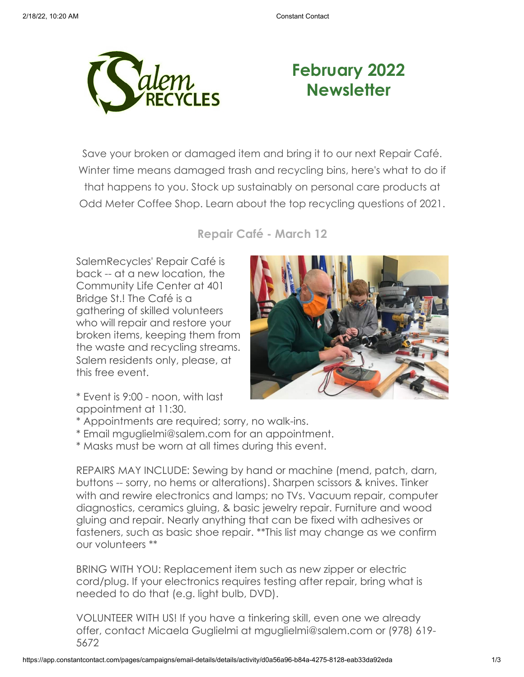

# **February 2022 Newsletter**

Save your broken or damaged item and bring it to our next Repair Café. Winter time means damaged trash and recycling bins, here's what to do if that happens to you. Stock up sustainably on personal care products at Odd Meter Coffee Shop. Learn about the top recycling questions of 2021.

**Repair Café - March 12**

SalemRecycles' Repair Café is back -- at a new location, the Community Life Center at 401 Bridge St.! The Café is a gathering of skilled volunteers who will repair and restore your broken items, keeping them from the waste and recycling streams. Salem residents only, please, at this free event.



\* Event is 9:00 - noon, with last appointment at 11:30.

- \* Appointments are required; sorry, no walk-ins.
- \* Email mguglielmi@salem.com for an appointment.
- \* Masks must be worn at all times during this event.

REPAIRS MAY INCLUDE: Sewing by hand or machine (mend, patch, darn, buttons -- sorry, no hems or alterations). Sharpen scissors & knives. Tinker with and rewire electronics and lamps; no TVs. Vacuum repair, computer diagnostics, ceramics gluing, & basic jewelry repair. Furniture and wood gluing and repair. Nearly anything that can be fixed with adhesives or fasteners, such as basic shoe repair. \*\*This list may change as we confirm our volunteers \*\*

BRING WITH YOU: Replacement item such as new zipper or electric cord/plug. If your electronics requires testing after repair, bring what is needed to do that (e.g. light bulb, DVD).

VOLUNTEER WITH US! If you have a tinkering skill, even one we already offer, contact Micaela Guglielmi at mguglielmi@salem.com or (978) 619- 5672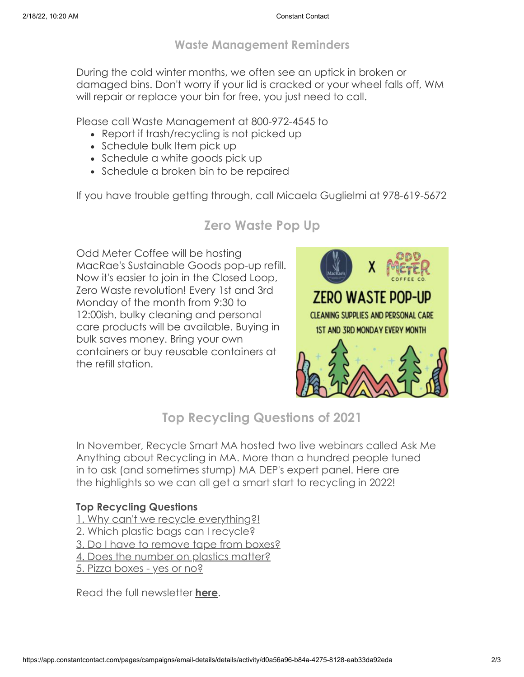### **Waste Management Reminders**

During the cold winter months, we often see an uptick in broken or damaged bins. Don't worry if your lid is cracked or your wheel falls off, WM will repair or replace your bin for free, you just need to call.

Please call Waste Management at 800-972-4545 to

- Report if trash/recycling is not picked up
- Schedule bulk Item pick up
- Schedule a white goods pick up
- Schedule a broken bin to be repaired

If you have trouble getting through, call Micaela Guglielmi at 978-619-5672

## **Zero Waste Pop Up**

Odd Meter Coffee will be hosting MacRae's Sustainable Goods pop-up refill. Now it's easier to join in the Closed Loop, Zero Waste revolution! Every 1st and 3rd Monday of the month from 9:30 to 12:00ish, bulky cleaning and personal care products will be available. Buying in bulk saves money. Bring your own containers or buy reusable containers at the refill station.



## **Top Recycling Questions of 2021**

In November, Recycle Smart MA hosted two live webinars called Ask Me Anything about Recycling in MA. More than a hundred people tuned in to ask (and sometimes stump) MA DEP's expert panel. Here are the highlights so we can all get a smart start to recycling in 2022!

#### **Top Recycling Questions**

[1. Why can't we recycle everything?!](https://mailchi.mp/73aa80881c37/spring-cleaning-recycle-smart-style-14104709?e=0c349a79d8#Question%201) [2. Which plastic bags can I recycle?](https://mailchi.mp/73aa80881c37/spring-cleaning-recycle-smart-style-14104709?e=0c349a79d8#Question%202)  [3. Do I have to remove tape from boxes?](https://mailchi.mp/73aa80881c37/spring-cleaning-recycle-smart-style-14104709?e=0c349a79d8#Question%203) [4. Does the number on plastics matter?](https://mailchi.mp/73aa80881c37/spring-cleaning-recycle-smart-style-14104709?e=0c349a79d8#Question%204) [5. Pizza boxes - yes or no?](https://mailchi.mp/73aa80881c37/spring-cleaning-recycle-smart-style-14104709?e=0c349a79d8#Question%205)

Read the full newsletter **[here](https://mailchi.mp/73aa80881c37/spring-cleaning-recycle-smart-style-14104709?e=0c349a79d8)**.